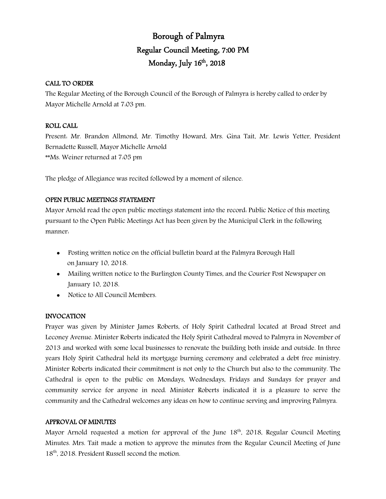# Borough of Palmyra Regular Council Meeting, 7:00 PM Monday, July  $16<sup>th</sup>$ , 2018

### CALL TO ORDER

The Regular Meeting of the Borough Council of the Borough of Palmyra is hereby called to order by Mayor Michelle Arnold at 7:03 pm.

### ROLL CALL

Present: Mr. Brandon Allmond, Mr. Timothy Howard, Mrs. Gina Tait, Mr. Lewis Yetter, President Bernadette Russell, Mayor Michelle Arnold \*\*Ms. Weiner returned at 7:05 pm

The pledge of Allegiance was recited followed by a moment of silence.

# OPEN PUBLIC MEETINGS STATEMENT

Mayor Arnold read the open public meetings statement into the record: Public Notice of this meeting pursuant to the Open Public Meetings Act has been given by the Municipal Clerk in the following manner:

- Posting written notice on the official bulletin board at the Palmyra Borough Hall on January 10, 2018.
- Mailing written notice to the Burlington County Times, and the Courier Post Newspaper on January 10, 2018.
- Notice to All Council Members.

### INVOCATION

Prayer was given by Minister James Roberts, of Holy Spirit Cathedral located at Broad Street and Leconey Avenue. Minister Roberts indicated the Holy Spirit Cathedral moved to Palmyra in November of 2013 and worked with some local businesses to renovate the building both inside and outside. In three years Holy Spirit Cathedral held its mortgage burning ceremony and celebrated a debt free ministry. Minister Roberts indicated their commitment is not only to the Church but also to the community. The Cathedral is open to the public on Mondays, Wednesdays, Fridays and Sundays for prayer and community service for anyone in need. Minister Roberts indicated it is a pleasure to serve the community and the Cathedral welcomes any ideas on how to continue serving and improving Palmyra.

### APPROVAL OF MINUTES

Mayor Arnold requested a motion for approval of the June  $18<sup>th</sup>$ , 2018, Regular Council Meeting Minutes. Mrs. Tait made a motion to approve the minutes from the Regular Council Meeting of June 18<sup>th</sup>, 2018. President Russell second the motion.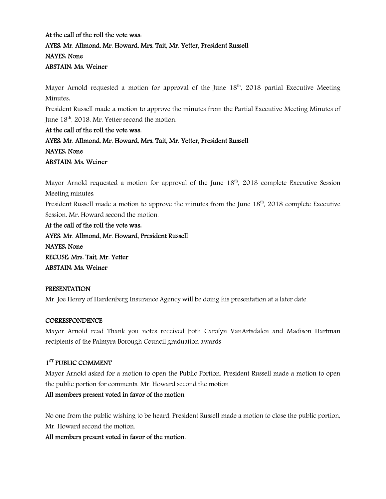# At the call of the roll the vote was: AYES: Mr. Allmond, Mr. Howard, Mrs. Tait, Mr. Yetter, President Russell NAYES: None ABSTAIN: Ms. Weiner

Mayor Arnold requested a motion for approval of the June  $18<sup>th</sup>$ , 2018 partial Executive Meeting Minutes:

President Russell made a motion to approve the minutes from the Partial Executive Meeting Minutes of June  $18<sup>th</sup>$ , 2018. Mr. Yetter second the motion.

# At the call of the roll the vote was: AYES: Mr. Allmond, Mr. Howard, Mrs. Tait, Mr. Yetter, President Russell NAYES: None ABSTAIN: Ms. Weiner

Mayor Arnold requested a motion for approval of the June  $18<sup>th</sup>$ , 2018 complete Executive Session Meeting minutes:

President Russell made a motion to approve the minutes from the June 18<sup>th</sup>, 2018 complete Executive Session. Mr. Howard second the motion.

At the call of the roll the vote was: AYES: Mr. Allmond, Mr. Howard, President Russell NAYES: None RECUSE: Mrs. Tait, Mr. Yetter ABSTAIN: Ms. Weiner

# PRESENTATION

Mr. Joe Henry of Hardenberg Insurance Agency will be doing his presentation at a later date.

### **CORRESPONDENCE**

Mayor Arnold read Thank-you notes received both Carolyn VanArtsdalen and Madison Hartman recipients of the Palmyra Borough Council graduation awards

# 1<sup>ST</sup> PUBLIC COMMENT

Mayor Arnold asked for a motion to open the Public Portion. President Russell made a motion to open the public portion for comments. Mr. Howard second the motion

# All members present voted in favor of the motion

No one from the public wishing to be heard, President Russell made a motion to close the public portion, Mr. Howard second the motion.

### All members present voted in favor of the motion.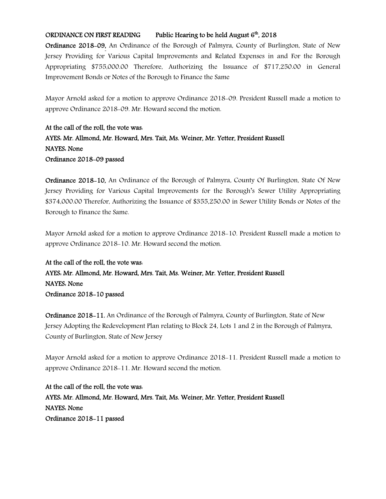# ORDINANCE ON FIRST READING Public Hearing to be held August 6<sup>th</sup>, 2018

Ordinance 2018-09, An Ordinance of the Borough of Palmyra, County of Burlington, State of New Jersey Providing for Various Capital Improvements and Related Expenses in and For the Borough Appropriating \$755,000.00 Therefore, Authorizing the Issuance of \$717,250.00 in General Improvement Bonds or Notes of the Borough to Finance the Same

Mayor Arnold asked for a motion to approve Ordinance 2018-09. President Russell made a motion to approve Ordinance 2018-09. Mr. Howard second the motion.

At the call of the roll, the vote was: AYES: Mr. Allmond, Mr. Howard, Mrs. Tait, Ms. Weiner, Mr. Yetter, President Russell NAYES: None Ordinance 2018-09 passed

Ordinance 2018-10, An Ordinance of the Borough of Palmyra, County Of Burlington, State Of New Jersey Providing for Various Capital Improvements for the Borough's Sewer Utility Appropriating \$374,000.00 Therefor, Authorizing the Issuance of \$355,250.00 in Sewer Utility Bonds or Notes of the Borough to Finance the Same.

Mayor Arnold asked for a motion to approve Ordinance 2018-10. President Russell made a motion to approve Ordinance 2018-10. Mr. Howard second the motion.

# At the call of the roll, the vote was: AYES: Mr. Allmond, Mr. Howard, Mrs. Tait, Ms. Weiner, Mr. Yetter, President Russell NAYES: None Ordinance 2018-10 passed

Ordinance 2018-11, An Ordinance of the Borough of Palmyra, County of Burlington, State of New Jersey Adopting the Redevelopment Plan relating to Block 24, Lots 1 and 2 in the Borough of Palmyra, County of Burlington, State of New Jersey

Mayor Arnold asked for a motion to approve Ordinance 2018-11. President Russell made a motion to approve Ordinance 2018-11. Mr. Howard second the motion.

At the call of the roll, the vote was: AYES: Mr. Allmond, Mr. Howard, Mrs. Tait, Ms. Weiner, Mr. Yetter, President Russell NAYES: None Ordinance 2018-11 passed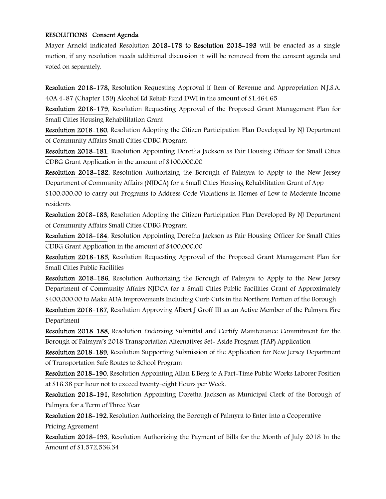### RESOLUTIONS Consent Agenda

Mayor Arnold indicated Resolution 2018-178 to Resolution 2018-193 will be enacted as a single motion, if any resolution needs additional discussion it will be removed from the consent agenda and voted on separately.

Resolution 2018-178, Resolution Requesting Approval if Item of Revenue and Appropriation N.J.S.A. 40A:4-87 (Chapter 159) Alcohol Ed Rehab Fund DWI in the amount of \$1,464.65

Resolution 2018-179, Resolution Requesting Approval of the Proposed Grant Management Plan for Small Cities Housing Rehabilitation Grant

Resolution 2018-180, Resolution Adopting the Citizen Participation Plan Developed by NJ Department of Community Affairs Small Cities CDBG Program

Resolution 2018-181, Resolution Appointing Doretha Jackson as Fair Housing Officer for Small Cities CDBG Grant Application in the amount of \$100,000.00

Resolution 2018-182, Resolution Authorizing the Borough of Palmyra to Apply to the New Jersey Department of Community Affairs (NJDCA) for a Small Cities Housing Rehabilitation Grant of App

\$100,000.00 to carry out Programs to Address Code Violations in Homes of Low to Moderate Income residents

Resolution 2018-183, Resolution Adopting the Citizen Participation Plan Developed By NJ Department of Community Affairs Small Cities CDBG Program

Resolution 2018-184, Resolution Appointing Doretha Jackson as Fair Housing Officer for Small Cities CDBG Grant Application in the amount of \$400,000.00

Resolution 2018-185, Resolution Requesting Approval of the Proposed Grant Management Plan for Small Cities Public Facilities

Resolution 2018-186, Resolution Authorizing the Borough of Palmyra to Apply to the New Jersey Department of Community Affairs NJDCA for a Small Cities Public Facilities Grant of Approximately \$400,000.00 to Make ADA Improvements Including Curb Cuts in the Northern Portion of the Borough

Resolution 2018-187, Resolution Approving Albert J Groff III as an Active Member of the Palmyra Fire Department

Resolution 2018-188, Resolution Endorsing Submittal and Certify Maintenance Commitment for the Borough of Palmyra's 2018 Transportation Alternatives Set- Aside Program (TAP) Application

Resolution 2018-189, Resolution Supporting Submission of the Application for New Jersey Department of Transportation Safe Routes to School Program

Resolution 2018-190, Resolution Appointing Allan E Berg to A Part-Time Public Works Laborer Position at \$16.38 per hour not to exceed twenty-eight Hours per Week.

Resolution 2018-191, Resolution Appointing Doretha Jackson as Municipal Clerk of the Borough of Palmyra for a Term of Three Year

Resolution 2018-192, Resolution Authorizing the Borough of Palmyra to Enter into a Cooperative

Pricing Agreement

Resolution 2018-193, Resolution Authorizing the Payment of Bills for the Month of July 2018 In the Amount of \$1,572,536.34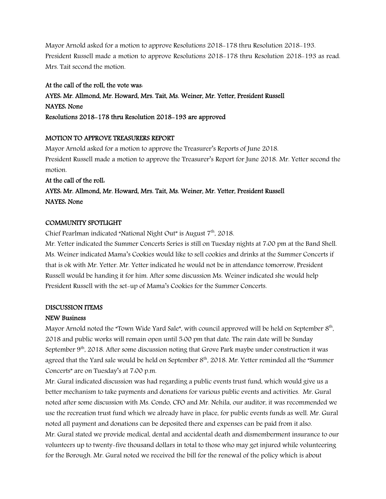Mayor Arnold asked for a motion to approve Resolutions 2018-178 thru Resolution 2018-193. President Russell made a motion to approve Resolutions 2018-178 thru Resolution 2018-193 as read. Mrs. Tait second the motion.

# At the call of the roll, the vote was:

AYES: Mr. Allmond, Mr. Howard, Mrs. Tait, Ms. Weiner, Mr. Yetter, President Russell NAYES: None Resolutions 2018-178 thru Resolution 2018-193 are approved

# MOTION TO APPROVE TREASURERS REPORT

Mayor Arnold asked for a motion to approve the Treasurer's Reports of June 2018. President Russell made a motion to approve the Treasurer's Report for June 2018. Mr. Yetter second the motion.

# At the call of the roll: AYES: Mr. Allmond, Mr. Howard, Mrs. Tait, Ms. Weiner, Mr. Yetter, President Russell NAYES: None

# COMMUNITY SPOTLIGHT

Chief Pearlman indicated "National Night Out" is August  $7<sup>th</sup>$ , 2018.

Mr. Yetter indicated the Summer Concerts Series is still on Tuesday nights at 7:00 pm at the Band Shell. Ms. Weiner indicated Mama's Cookies would like to sell cookies and drinks at the Summer Concerts if that is ok with Mr. Yetter. Mr. Yetter indicated he would not be in attendance tomorrow, President Russell would be handing it for him. After some discussion Ms. Weiner indicated she would help President Russell with the set-up of Mama's Cookies for the Summer Concerts.

# DISCUSSION ITEMS

# NEW Business

Mayor Arnold noted the "Town Wide Yard Sale", with council approved will be held on September  $8<sup>th</sup>$ , 2018 and public works will remain open until 5:00 pm that date. The rain date will be Sunday September 9<sup>th</sup>, 2018. After some discussion noting that Grove Park maybe under construction it was agreed that the Yard sale would be held on September 8<sup>th</sup>, 2018. Mr. Yetter reminded all the "Summer Concerts" are on Tuesday's at 7:00 p.m.

Mr. Gural indicated discussion was had regarding a public events trust fund, which would give us a better mechanism to take payments and donations for various public events and activities. Mr. Gural noted after some discussion with Ms. Condo, CFO and Mr. Nehila, our auditor, it was recommended we use the recreation trust fund which we already have in place, for public events funds as well. Mr. Gural noted all payment and donations can be deposited there and expenses can be paid from it also. Mr. Gural stated we provide medical, dental and accidental death and dismemberment insurance to our volunteers up to twenty-five thousand dollars in total to those who may get injured while volunteering for the Borough. Mr. Gural noted we received the bill for the renewal of the policy which is about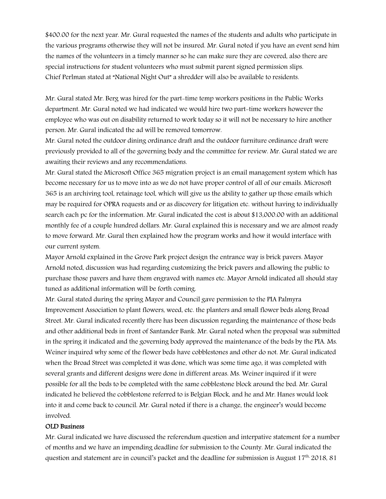\$400.00 for the next year. Mr. Gural requested the names of the students and adults who participate in the various programs otherwise they will not be insured. Mr. Gural noted if you have an event send him the names of the volunteers in a timely manner so he can make sure they are covered, also there are special instructions for student volunteers who must submit parent signed permission slips. Chief Perlman stated at "National Night Out" a shredder will also be available to residents.

Mr. Gural stated Mr. Berg was hired for the part-time temp workers positions in the Public Works department. Mr. Gural noted we had indicated we would hire two part-time workers however the employee who was out on disability returned to work today so it will not be necessary to hire another person. Mr. Gural indicated the ad will be removed tomorrow.

Mr. Gural noted the outdoor dining ordinance draft and the outdoor furniture ordinance draft were previously provided to all of the governing body and the committee for review. Mr. Gural stated we are awaiting their reviews and any recommendations.

Mr. Gural stated the Microsoft Office 365 migration project is an email management system which has become necessary for us to move into as we do not have proper control of all of our emails. Microsoft 365 is an archiving tool, retainage tool, which will give us the ability to gather up those emails which may be required for OPRA requests and or as discovery for litigation etc. without having to individually search each pc for the information. Mr. Gural indicated the cost is about \$13,000.00 with an additional monthly fee of a couple hundred dollars. Mr. Gural explained this is necessary and we are almost ready to move forward. Mr. Gural then explained how the program works and how it would interface with our current system.

Mayor Arnold explained in the Grove Park project design the entrance way is brick pavers. Mayor Arnold noted, discussion was had regarding customizing the brick pavers and allowing the public to purchase those pavers and have them engraved with names etc. Mayor Arnold indicated all should stay tuned as additional information will be forth coming.

Mr. Gural stated during the spring Mayor and Council gave permission to the PIA Palmyra Improvement Association to plant flowers, weed, etc. the planters and small flower beds along Broad Street. Mr. Gural indicated recently there has been discussion regarding the maintenance of those beds and other additional beds in front of Santander Bank. Mr. Gural noted when the proposal was submitted in the spring it indicated and the governing body approved the maintenance of the beds by the PIA. Ms. Weiner inquired why some of the flower beds have cobblestones and other do not. Mr. Gural indicated when the Broad Street was completed it was done, which was some time ago, it was completed with several grants and different designs were done in different areas. Ms. Weiner inquired if it were possible for all the beds to be completed with the same cobblestone block around the bed. Mr. Gural indicated he believed the cobblestone referred to is Belgian Block, and he and Mr. Hanes would look into it and come back to council. Mr. Gural noted if there is a change, the engineer's would become involved.

### OLD Business

Mr. Gural indicated we have discussed the referendum question and interpative statement for a number of months and we have an impending deadline for submission to the County. Mr. Gural indicated the question and statement are in council's packet and the deadline for submission is August  $17<sup>th</sup>$ . 2018, 81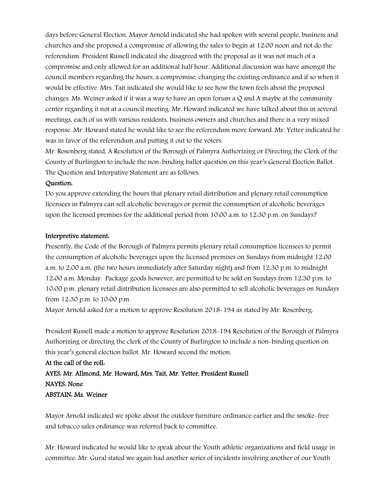days before General Election. Mayor Arnold indicated she had spoken with several people, business and churches and she proposed a compromise of allowing the sales to begin at 12:00 noon and not do the referendum. President Russell indicated she disagreed with the proposal as it was not much of a compromise and only allowed for an additional half hour. Additional discussion was have amongst the council members regarding the hours, a compromise, changing the existing ordinance and if so when it would be effective. Mrs. Tait indicated she would like to see how the town feels about the proposed changes. Ms. Weiner asked if it was a way to have an open forum a  $Q$  and A maybe at the community center regarding it not at a council meeting. Mr. Howard indicated we have talked about this in several meetings, each of us with various residents, business owners and churches and there is a very mixed response. Mr. Howard stated he would like to see the referendum move forward. Mr. Yetter indicated he was in favor of the referendum and putting it out to the voters.

Mr. Rosenberg stated, A Resolution of the Borough of Palmyra Authorizing or Directing the Clerk of the County of Burlington to include the non-binding ballot question on this year's General Election Ballot. The Question and Interpative Statement are as follows:

#### Question:

Do you approve extending the hours that plenary retail distribution and plenary retail consumption licensees in Palmyra can sell alcoholic beverages or permit the consumption of alcoholic beverages upon the licensed premises for the additional period from 10:00 a.m. to 12:30 p.m. on Sundays?

#### Interpretive statement:

Presently, the Code of the Borough of Palmyra permits plenary retail consumption licensees to permit the consumption of alcoholic beverages upon the licensed premises on Sundays from midnight 12:00 a.m. to 2:00 a.m. (the two hours immediately after Saturday night) and from 12:30 p.m. to midnight 12:00 a.m. Monday. Package goods however, are permitted to be sold on Sundays from 12:30 p.m. to 10:00 p.m. plenary retail distribution licensees are also permitted to sell alcoholic beverages on Sundays from 12:30 p.m. to 10:00 p.m.

Mayor Arnold asked for a motion to approve Resolution 2018-194 as stated by Mr. Rosenberg.

President Russell made a motion to approve Resolution 2018-194 Resolution of the Borough of Palmyra Authorizing or directing the clerk of the County of Burlington to include a non-binding question on this year's general election ballot. Mr. Howard second the motion.

# At the call of the roll: AYES: Mr. Allmond, Mr. Howard, Mrs. Tait, Mr. Yetter, President Russell NAYES: None ABSTAIN: Ms. Weiner

Mayor Arnold indicated we spoke about the outdoor furniture ordinance earlier and the smoke-free and tobacco sales ordinance was referred back to committee.

Mr. Howard indicated he would like to speak about the Youth athletic organizations and field usage in committee. Mr. Gural stated we again had another series of incidents involving another of our Youth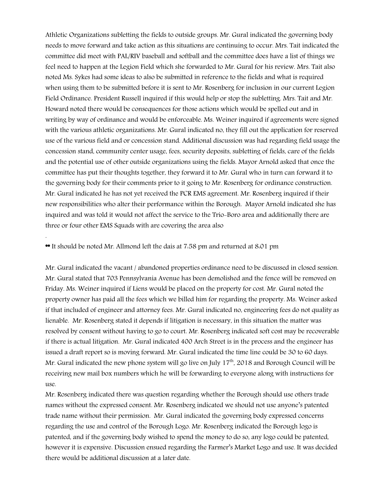Athletic Organizations subletting the fields to outside groups. Mr. Gural indicated the governing body needs to move forward and take action as this situations are continuing to occur. Mrs. Tait indicated the committee did meet with PAL/RIV baseball and softball and the committee does have a list of things we feel need to happen at the Legion Field which she forwarded to Mr. Gural for his review. Mrs. Tait also noted Ms. Sykes had some ideas to also be submitted in reference to the fields and what is required when using them to be submitted before it is sent to Mr. Rosenberg for inclusion in our current Legion Field Ordinance. President Russell inquired if this would help or stop the subletting. Mrs. Tait and Mr. Howard noted there would be consequences for those actions which would be spelled out and in writing by way of ordinance and would be enforceable. Ms. Weiner inquired if agreements were signed with the various athletic organizations. Mr. Gural indicated no, they fill out the application for reserved use of the various field and or concession stand. Additional discussion was had regarding field usage the concession stand, community center usage, fees, security deposits, subletting of fields, care of the fields and the potential use of other outside organizations using the fields. Mayor Arnold asked that once the committee has put their thoughts together, they forward it to Mr. Gural who in turn can forward it to the governing body for their comments prior to it going to Mr. Rosenberg for ordinance construction. Mr. Gural indicated he has not yet received the PCR EMS agreement. Mr. Rosenberg inquired if their new responsibilities who alter their performance within the Borough. Mayor Arnold indicated she has inquired and was told it would not affect the service to the Trio-Boro area and additionally there are three or four other EMS Squads with are covering the area also

\*\* It should be noted Mr. Allmond left the dais at 7:58 pm and returned at 8:01 pm

.

Mr. Gural indicated the vacant / abandoned properties ordinance need to be discussed in closed session. Mr. Gural stated that 703 Pennsylvania Avenue has been demolished and the fence will be removed on Friday. Ms. Weiner inquired if Liens would be placed on the property for cost. Mr. Gural noted the property owner has paid all the fees which we billed him for regarding the property. Ms. Weiner asked if that included of engineer and attorney fees. Mr. Gural indicated no, engineering fees do not quality as lienable. Mr. Rosenberg stated it depends if litigation is necessary, in this situation the matter was resolved by consent without having to go to court. Mr. Rosenberg indicated soft cost may be recoverable if there is actual litigation. Mr. Gural indicated 400 Arch Street is in the process and the engineer has issued a draft report so is moving forward. Mr. Gural indicated the time line could be 30 to 60 days. Mr. Gural indicated the new phone system will go live on July  $17<sup>th</sup>$ , 2018 and Borough Council will be receiving new mail box numbers which he will be forwarding to everyone along with instructions for use.

Mr. Rosenberg indicated there was question regarding whether the Borough should use others trade names without the expressed consent. Mr. Rosenberg indicated we should not use anyone's patented trade name without their permission. Mr. Gural indicated the governing body expressed concerns regarding the use and control of the Borough Logo. Mr. Rosenberg indicated the Borough logo is patented, and if the governing body wished to spend the money to do so, any logo could be patented, however it is expensive. Discussion ensued regarding the Farmer's Market Logo and use. It was decided there would be additional discussion at a later date.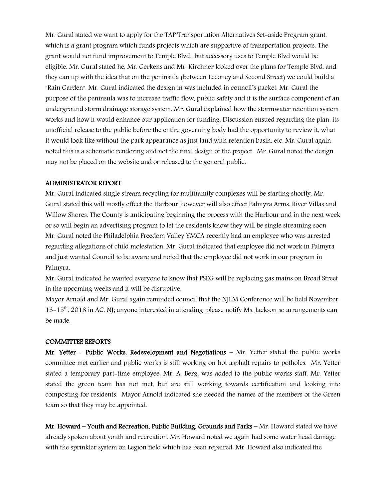Mr. Gural stated we want to apply for the TAP Transportation Alternatives Set-aside Program grant, which is a grant program which funds projects which are supportive of transportation projects. The grant would not fund improvement to Temple Blvd., but accessory uses to Temple Blvd would be eligible. Mr. Gural stated he, Mr. Gerkens and Mr. Kirchner looked over the plans for Temple Blvd. and they can up with the idea that on the peninsula (between Leconey and Second Street) we could build a "Rain Garden". Mr. Gural indicated the design in was included in council's packet. Mr. Gural the purpose of the peninsula was to increase traffic flow, public safety and it is the surface component of an underground storm drainage storage system. Mr. Gural explained how the stormwater retention system works and how it would enhance our application for funding. Discussion ensued regarding the plan, its unofficial release to the public before the entire governing body had the opportunity to review it, what it would look like without the park appearance as just land with retention basin, etc. Mr. Gural again noted this is a schematic rendering and not the final design of the project. Mr. Gural noted the design may not be placed on the website and or released to the general public.

#### ADMINISTRATOR REPORT

Mr. Gural indicated single stream recycling for multifamily complexes will be starting shortly. Mr. Gural stated this will mostly effect the Harbour however will also effect Palmyra Arms. River Villas and Willow Shores. The County is anticipating beginning the process with the Harbour and in the next week or so will begin an advertising program to let the residents know they will be single streaming soon. Mr. Gural noted the Philadelphia Freedom Valley YMCA recently had an employee who was arrested regarding allegations of child molestation. Mr. Gural indicated that employee did not work in Palmyra and just wanted Council to be aware and noted that the employee did not work in our program in Palmyra.

Mr. Gural indicated he wanted everyone to know that PSEG will be replacing gas mains on Broad Street in the upcoming weeks and it will be disruptive.

Mayor Arnold and Mr. Gural again reminded council that the NJLM Conference will be held November 13-15th, 2018 in AC, NJ; anyone interested in attending please notify Ms. Jackson so arrangements can be made.

#### COMMITTEE REPORTS

Mr. Yetter - Public Works, Redevelopment and Negotiations – Mr. Yetter stated the public works committee met earlier and public works is still working on hot asphalt repairs to potholes. Mr. Yetter stated a temporary part-time employee, Mr. A. Berg, was added to the public works staff. Mr. Yetter stated the green team has not met, but are still working towards certification and looking into composting for residents. Mayor Arnold indicated she needed the names of the members of the Green team so that they may be appointed.

Mr. Howard – Youth and Recreation, Public Building, Grounds and Parks – Mr. Howard stated we have already spoken about youth and recreation. Mr. Howard noted we again had some water head damage with the sprinkler system on Legion field which has been repaired. Mr. Howard also indicated the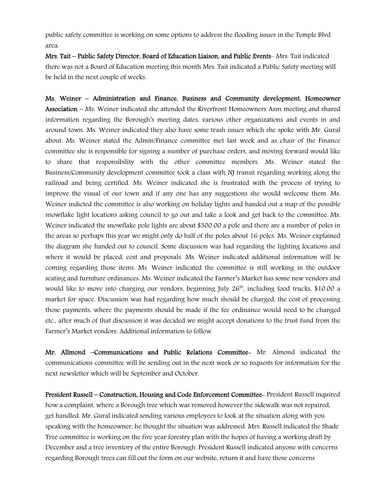public safety committee is working on some options to address the flooding issues in the Temple Blvd area.

Mrs. Tait – Public Safety Director, Board of Education Liaison, and Public Events– Mrs. Tait indicated there was not a Board of Education meeting this month Mrs. Tait indicated a Public Safety meeting will be held in the next couple of weeks.

Ms. Weiner – Administration and Finance, Business and Community development, Homeowner Association – Ms. Weiner indicated she attended the Riverfront Homeowners Assn meeting and shared information regarding the Borough's meeting dates, various other organizations and events in and around town. Ms. Weiner indicated they also have some trash issues which she spoke with Mr. Gural about. Ms. Weiner stated the Admin/Finance committee met last week and as chair of the Finance committee she is responsible for signing a number of purchase orders, and moving forward would like to share that responsibility with the other committee members. Ms. Weiner stated the Business/Community development committee took a class with NJ transit regarding working along the railroad and being certified. Ms. Weiner indicated she is frustrated with the process of trying to improve the visual of our town and if any one has any suggestions she would welcome them. Ms. Weiner indicted the committee is also working on holiday lights and handed out a map of the possible snowflake light locations asking council to go out and take a look and get back to the committee. Ms. Weiner indicated the snowflake pole lights are about \$300.00 a pole and there are a number of poles in the areas so perhaps this year we might only do half of the poles about 16 poles. Ms. Weiner explained the diagram she handed out to council. Some discussion was had regarding the lighting locations and where it would be placed, cost and proposals. Ms. Weiner indicated additional information will be coming regarding those items. Ms. Weiner indicated the committee is still working in the outdoor seating and furniture ordinances. Ms. Weiner indicated the Farmer's Market has some new vendors and would like to move into charging our vendors, beginning July 26<sup>th</sup>, including food trucks, \$10.00 a market for space. Discussion was had regarding how much should be charged, the cost of processing those payments, where the payments should be made if the fee ordinance would need to be changed etc., after much of that discussion it was decided we might accept donations to the trust fund from the Farmer's Market vendors. Additional information to follow.

Mr. Allmond –Communications and Public Relations Committee- Mr. Almond indicated the communications committee will be sending out in the next week or so requests for information for the next newsletter which will be September and October.

President Russell – Construction, Housing and Code Enforcement Committee- President Russell inquired how a complaint, where a Borough tree which was removed however the sidewalk was not repaired, get handled. Mr. Gural indicated sending various employees to look at the situation along with you speaking with the homeowner, he thought the situation was addressed. Mrs. Russell indicated the Shade Tree committee is working on the five year forestry plan with the hopes of having a working draft by December and a tree inventory of the entire Borough. President Russell indicated anyone with concerns regarding Borough trees can fill out the form on our website, return it and have those concerns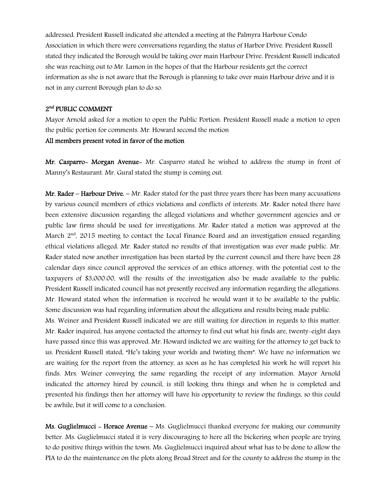addressed. President Russell indicated she attended a meeting at the Palmyra Harbour Condo Association in which there were conversations regarding the status of Harbor Drive. President Russell stated they indicated the Borough would be taking over main Harbour Drive. President Russell indicated she was reaching out to Mr. Lamon in the hopes of that the Harbour residents get the correct information as she is not aware that the Borough is planning to take over main Harbour drive and it is not in any current Borough plan to do so.

### 2<sup>nd</sup> PUBLIC COMMENT

Mayor Arnold asked for a motion to open the Public Portion. President Russell made a motion to open the public portion for comments. Mr. Howard second the motion

### All members present voted in favor of the motion

Mr. Casparro- Morgan Avenue- Mr. Casparro stated he wished to address the stump in front of Manny's Restaurant. Mr. Gural stated the stump is coming out.

Mr. Rader – Harbour Drive. – Mr. Rader stated for the past three years there has been many accusations by various council members of ethics violations and conflicts of interests. Mr. Rader noted there have been extensive discussion regarding the alleged violations and whether government agencies and or public law firms should be used for investigations. Mr. Rader stated a motion was approved at the March 2<sup>nd</sup>, 2015 meeting to contact the Local Finance Board and an investigation ensued regarding ethical violations alleged. Mr. Rader stated no results of that investigation was ever made public. Mr. Rader stated now another investigation has been started by the current council and there have been 28 calendar days since council approved the services of an ethics attorney, with the potential cost to the taxpayers of \$3,000.00, will the results of the investigation also be made available to the public. President Russell indicated council has not presently received any information regarding the allegations. Mr. Howard stated when the information is received he would want it to be available to the public. Some discussion was had regarding information about the allegations and results being made public.

Ms. Weiner and President Russell indicated we are still waiting for direction in regards to this matter. Mr. Rader inquired, has anyone contacted the attorney to find out what his finds are, twenty-eight days have passed since this was approved. Mr. Howard indicted we are waiting for the attorney to get back to us. President Russell stated, "He's taking your worlds and twisting them". We have no information we are waiting for the report from the attorney, as soon as he has completed his work he will report his finds. Mrs. Weiner conveying the same regarding the receipt of any information. Mayor Arnold indicated the attorney hired by council, is still looking thru things and when he is completed and presented his findings then her attorney will have his opportunity to review the findings, so this could be awhile, but it will come to a conclusion.

Ms. Guglielmucci - Horace Avenue - Ms. Guglielmucci thanked everyone for making our community better. Ms. Guglielmucci stated it is very discouraging to here all the bickering when people are trying to do positive things within the town. Ms. Guglielmucci inquired about what has to be done to allow the PIA to do the maintenance on the plots along Broad Street and for the county to address the stump in the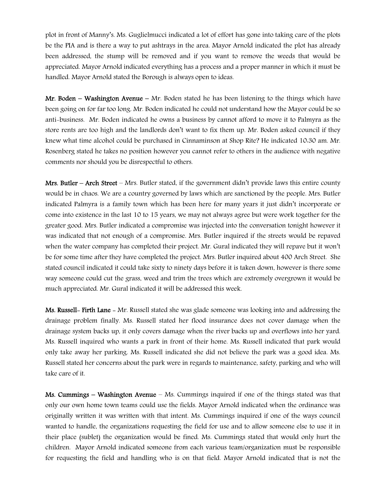plot in front of Manny's. Ms. Guglielmucci indicated a lot of effort has gone into taking care of the plots be the PIA and is there a way to put ashtrays in the area. Mayor Arnold indicated the plot has already been addressed, the stump will be removed and if you want to remove the weeds that would be appreciated. Mayor Arnold indicated everything has a process and a proper manner in which it must be handled. Mayor Arnold stated the Borough is always open to ideas.

**Mr. Boden – Washington Avenue –** Mr. Boden stated he has been listening to the things which have been going on for far too long. Mr. Boden indicated he could not understand how the Mayor could be so anti-business. Mr. Boden indicated he owns a business by cannot afford to move it to Palmyra as the store rents are too high and the landlords don't want to fix them up. Mr. Boden asked council if they knew what time alcohol could be purchased in Cinnaminson at Shop Rite? He indicated 10:30 am. Mr. Rosenberg stated he takes no position however you cannot refer to others in the audience with negative comments nor should you be disrespectful to others.

**Mrs. Butler – Arch Street** – Mrs. Butler stated, if the government didn't provide laws this entire county would be in chaos. We are a country governed by laws which are sanctioned by the people. Mrs. Butler indicated Palmyra is a family town which has been here for many years it just didn't incorporate or come into existence in the last 10 to 15 years, we may not always agree but were work together for the greater good. Mrs. Butler indicated a compromise was injected into the conversation tonight however it was indicated that not enough of a compromise. Mrs. Butler inquired if the streets would be repaved when the water company has completed their project. Mr. Gural indicated they will repave but it won't be for some time after they have completed the project. Mrs. Butler inquired about 400 Arch Street. She stated council indicated it could take sixty to ninety days before it is taken down, however is there some way someone could cut the grass, weed and trim the trees which are extremely overgrown it would be much appreciated. Mr. Gural indicated it will be addressed this week.

Ms. Russell- Firth Lane - Mr. Russell stated she was glade someone was looking into and addressing the drainage problem finally. Ms. Russell stated her flood insurance does not cover damage when the drainage system backs up, it only covers damage when the river backs up and overflows into her yard. Ms. Russell inquired who wants a park in front of their home. Ms. Russell indicated that park would only take away her parking. Ms. Russell indicated she did not believe the park was a good idea. Ms. Russell stated her concerns about the park were in regards to maintenance, safety, parking and who will take care of it.

Ms. Cummings – Washington Avenue – Ms. Cummings inquired if one of the things stated was that only our own home town teams could use the fields. Mayor Arnold indicated when the ordinance was originally written it was written with that intent. Ms. Cummings inquired if one of the ways council wanted to handle, the organizations requesting the field for use and to allow someone else to use it in their place (sublet) the organization would be fined. Ms. Cummings stated that would only hurt the children. Mayor Arnold indicated someone from each various team/organization must be responsible for requesting the field and handling who is on that field. Mayor Arnold indicated that is not the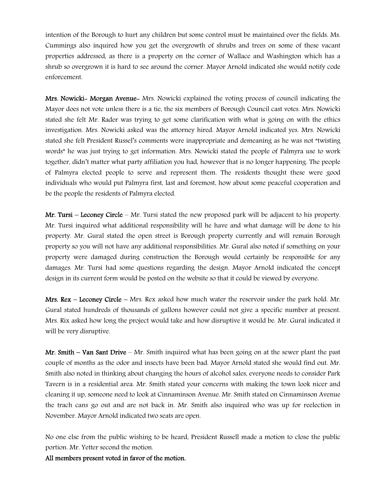intention of the Borough to hurt any children but some control must be maintained over the fields. Ms. Cummings also inquired how you get the overgrowth of shrubs and trees on some of these vacant properties addressed, as there is a property on the corner of Wallace and Washington which has a shrub so overgrown it is hard to see around the corner. Mayor Arnold indicated she would notify code enforcement.

Mrs. Nowicki- Morgan Avenue- Mrs. Nowicki explained the voting process of council indicating the Mayor does not vote unless there is a tie, the six members of Borough Council cast votes. Mrs. Nowicki stated she felt Mr. Rader was trying to get some clarification with what is going on with the ethics investigation. Mrs. Nowicki asked was the attorney hired. Mayor Arnold indicated yes. Mrs. Nowicki stated she felt President Russel's comments were inappropriate and demeaning as he was not "twisting words" he was just trying to get information. Mrs. Nowicki stated the people of Palmyra use to work together, didn't matter what party affiliation you had, however that is no longer happening. The people of Palmyra elected people to serve and represent them. The residents thought these were good individuals who would put Palmyra first, last and foremost, how about some peaceful cooperation and be the people the residents of Palmyra elected.

Mr. Tursi – Leconey Circle – Mr. Tursi stated the new proposed park will be adjacent to his property. Mr. Tursi inquired what additional responsibility will he have and what damage will be done to his property. Mr. Gural stated the open street is Borough property currently and will remain Borough property so you will not have any additional responsibilities. Mr. Gural also noted if something on your property were damaged during construction the Borough would certainly be responsible for any damages. Mr. Tursi had some questions regarding the design. Mayor Arnold indicated the concept design in its current form would be posted on the website so that it could be viewed by everyone.

**Mrs. Rex – Leconey Circle –** Mrs. Rex asked how much water the reservoir under the park hold. Mr. Gural stated hundreds of thousands of gallons however could not give a specific number at present. Mrs. Rix asked how long the project would take and how disruptive it would be. Mr. Gural indicated it will be very disruptive.

**Mr. Smith – Van Sant Drive –** Mr. Smith inquired what has been going on at the sewer plant the past couple of months as the odor and insects have been bad. Mayor Arnold stated she would find out. Mr. Smith also noted in thinking about changing the hours of alcohol sales, everyone needs to consider Park Tavern is in a residential area. Mr. Smith stated your concerns with making the town look nicer and cleaning it up, someone need to look at Cinnaminson Avenue. Mr. Smith stated on Cinnaminson Avenue the trach cans go out and are not back in. Mr. Smith also inquired who was up for reelection in November. Mayor Arnold indicated two seats are open.

No one else from the public wishing to be heard, President Russell made a motion to close the public portion. Mr. Yetter second the motion.

All members present voted in favor of the motion.